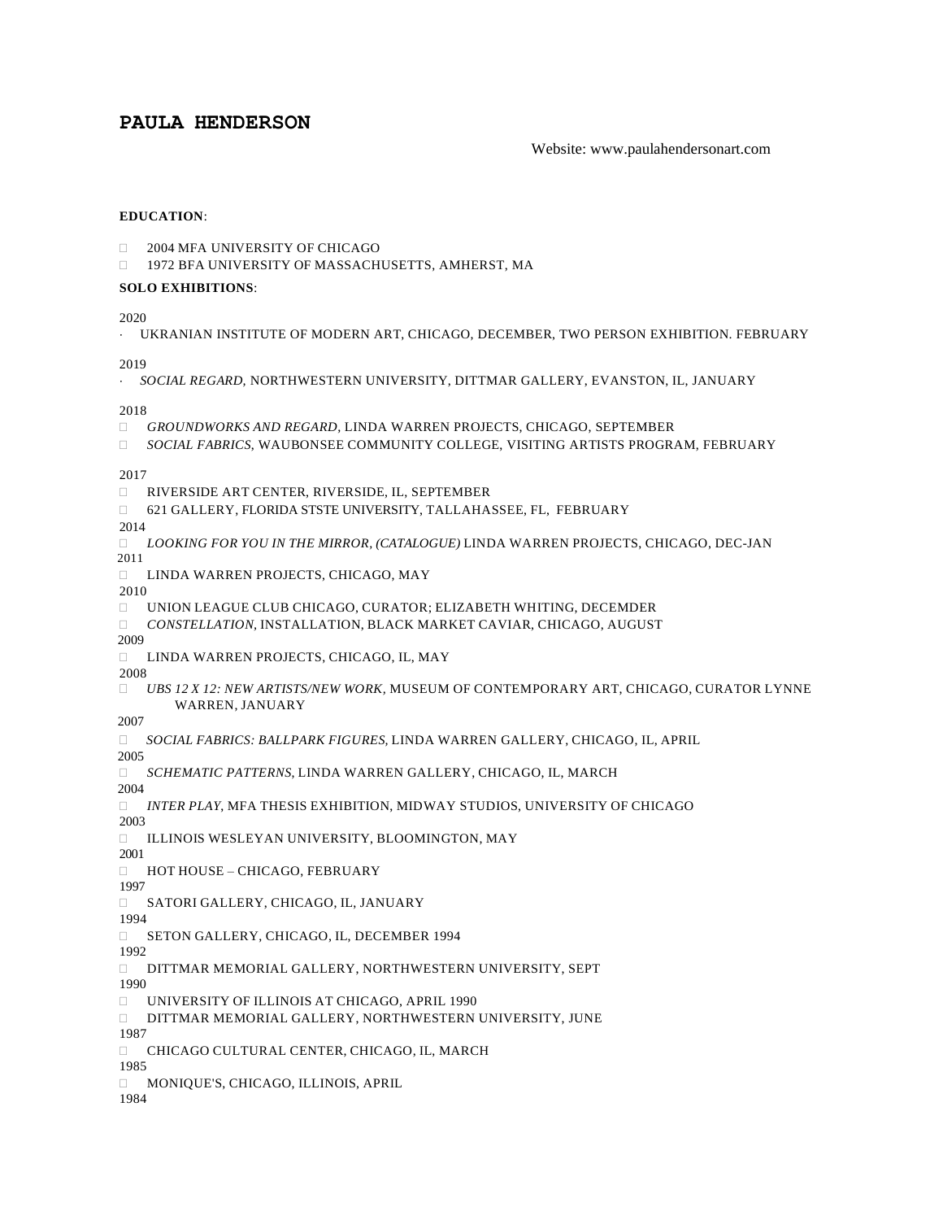# **PAULA HENDERSON**

## Website: www.paulahendersonart.com

## **EDUCATION**:

- **2004 MFA UNIVERSITY OF CHICAGO**
- □ 1972 BFA UNIVERSITY OF MASSACHUSETTS, AMHERST, MA

## **SOLO EXHIBITIONS**:

2020

UKRANIAN INSTITUTE OF MODERN ART, CHICAGO, DECEMBER, TWO PERSON EXHIBITION. FEBRUARY

2019

*SOCIAL REGARD,* NORTHWESTERN UNIVERSITY, DITTMAR GALLERY, EVANSTON, IL, JANUARY

2018

- *GROUNDWORKS AND REGARD,* LINDA WARREN PROJECTS, CHICAGO, SEPTEMBER
- *SOCIAL FABRICS*, WAUBONSEE COMMUNITY COLLEGE, VISITING ARTISTS PROGRAM, FEBRUARY

2017

- RIVERSIDE ART CENTER, RIVERSIDE, IL, SEPTEMBER
- 621 GALLERY, FLORIDA STSTE UNIVERSITY, TALLAHASSEE, FL, FEBRUARY

2014

- *LOOKING FOR YOU IN THE MIRROR, (CATALOGUE)* LINDA WARREN PROJECTS, CHICAGO, DEC-JAN 2011
- LINDA WARREN PROJECTS, CHICAGO, MAY

2010

- UNION LEAGUE CLUB CHICAGO, CURATOR; ELIZABETH WHITING, DECEMDER
- *CONSTELLATION,* INSTALLATION, BLACK MARKET CAVIAR, CHICAGO, AUGUST

2009

LINDA WARREN PROJECTS, CHICAGO, IL, MAY

2008

 *UBS 12 X 12: NEW ARTISTS/NEW WORK,* MUSEUM OF CONTEMPORARY ART, CHICAGO, CURATOR LYNNE WARREN, JANUARY

2007

*SOCIAL FABRICS: BALLPARK FIGURES,* LINDA WARREN GALLERY, CHICAGO, IL, APRIL

2005

*SCHEMATIC PATTERNS*, LINDA WARREN GALLERY, CHICAGO, IL, MARCH

2004

*INTER PLAY*, MFA THESIS EXHIBITION, MIDWAY STUDIOS, UNIVERSITY OF CHICAGO

2003

ILLINOIS WESLEYAN UNIVERSITY, BLOOMINGTON, MAY

2001

HOT HOUSE – CHICAGO, FEBRUARY

1997

SATORI GALLERY, CHICAGO, IL, JANUARY

1994

□ SETON GALLERY, CHICAGO, IL, DECEMBER 1994

1992

DITTMAR MEMORIAL GALLERY, NORTHWESTERN UNIVERSITY, SEPT

1990

- UNIVERSITY OF ILLINOIS AT CHICAGO, APRIL 1990
- DITTMAR MEMORIAL GALLERY, NORTHWESTERN UNIVERSITY, JUNE

1987

CHICAGO CULTURAL CENTER, CHICAGO, IL, MARCH

1985 1984

MONIQUE'S, CHICAGO, ILLINOIS, APRIL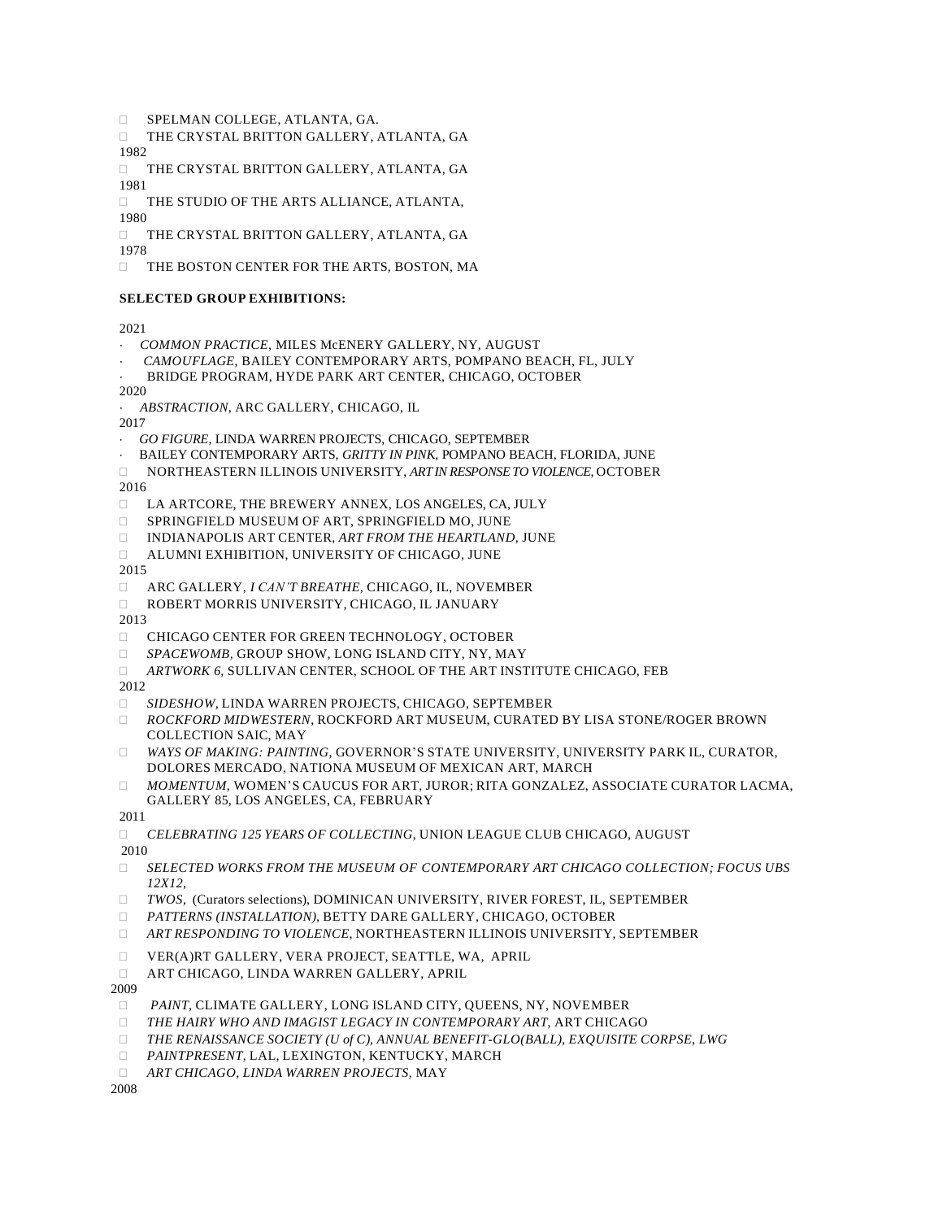- SPELMAN COLLEGE, ATLANTA, GA.
- THE CRYSTAL BRITTON GALLERY, ATLANTA, GA 1982

 THE CRYSTAL BRITTON GALLERY, ATLANTA, GA 1981

 THE STUDIO OF THE ARTS ALLIANCE, ATLANTA, 1980

 THE CRYSTAL BRITTON GALLERY, ATLANTA, GA 1978

THE BOSTON CENTER FOR THE ARTS, BOSTON, MA

## **SELECTED GROUP EXHIBITIONS:**

2021

- *COMMON PRACTICE*, MILES McENERY GALLERY, NY, AUGUST
- *CAMOUFLAGE*, BAILEY CONTEMPORARY ARTS, POMPANO BEACH, FL, JULY
- BRIDGE PROGRAM, HYDE PARK ART CENTER, CHICAGO, OCTOBER

2020

*ABSTRACTION*, ARC GALLERY, CHICAGO, IL

2017

- *GO FIGURE,* LINDA WARREN PROJECTS, CHICAGO, SEPTEMBER
- BAILEY CONTEMPORARY ARTS, *GRITTY IN PINK*, POMPANO BEACH, FLORIDA, JUNE
- NORTHEASTERN ILLINOIS UNIVERSITY, *ART IN RESPONSE TO VIOLENCE*, OCTOBER

2016

- LA ARTCORE, THE BREWERY ANNEX, LOS ANGELES, CA, JULY
- □ SPRINGFIELD MUSEUM OF ART, SPRINGFIELD MO, JUNE
- INDIANAPOLIS ART CENTER, *ART FROM THE HEARTLAND*, JUNE
- ALUMNI EXHIBITION, UNIVERSITY OF CHICAGO, JUNE

2015

- ARC GALLERY, *I CAN'T BREATHE,* CHICAGO, IL, NOVEMBER
- ROBERT MORRIS UNIVERSITY, CHICAGO, IL JANUARY

2013

- CHICAGO CENTER FOR GREEN TECHNOLOGY, OCTOBER
- *SPACEWOMB,* GROUP SHOW*,* LONG ISLAND CITY, NY, MAY
- *ARTWORK 6,* SULLIVAN CENTER, SCHOOL OF THE ART INSTITUTE CHICAGO, FEB

2012

- *SIDESHOW,* LINDA WARREN PROJECTS, CHICAGO, SEPTEMBER
- *ROCKFORD MIDWESTERN,* ROCKFORD ART MUSEUM, CURATED BY LISA STONE/ROGER BROWN COLLECTION SAIC, MAY
- *WAYS OF MAKING: PAINTING,* GOVERNOR'S STATE UNIVERSITY, UNIVERSITY PARK IL, CURATOR, DOLORES MERCADO, NATIONA MUSEUM OF MEXICAN ART, MARCH
- *MOMENTUM,* WOMEN'S CAUCUS FOR ART, JUROR; RITA GONZALEZ, ASSOCIATE CURATOR LACMA, GALLERY 85, LOS ANGELES, CA, FEBRUARY

2011

*CELEBRATING 125 YEARS OF COLLECTING,* UNION LEAGUE CLUB CHICAGO, AUGUST

2010

- *SELECTED WORKS FROM THE MUSEUM OF CONTEMPORARY ART CHICAGO COLLECTION; FOCUS UBS 12X12*,
- *TWOS,* (Curators selections), DOMINICAN UNIVERSITY, RIVER FOREST, IL, SEPTEMBER
- *PATTERNS (INSTALLATION),* BETTY DARE GALLERY, CHICAGO, OCTOBER
- *ART RESPONDING TO VIOLENCE*, NORTHEASTERN ILLINOIS UNIVERSITY, SEPTEMBER
- VER(A)RT GALLERY, VERA PROJECT, SEATTLE, WA, APRIL
- ART CHICAGO, LINDA WARREN GALLERY, APRIL

2009

- *PAINT,* CLIMATE GALLERY, LONG ISLAND CITY, QUEENS, NY, NOVEMBER
- *THE HAIRY WHO AND IMAGIST LEGACY IN CONTEMPORARY ART*, ART CHICAGO
- *THE RENAISSANCE SOCIETY (U of C), ANNUAL BENEFIT-GLO(BALL), EXQUISITE CORPSE, LWG*
- *PAINTPRESENT*, LAL, LEXINGTON, KENTUCKY, MARCH
- *ART CHICAGO, LINDA WARREN PROJECTS,* MAY

2008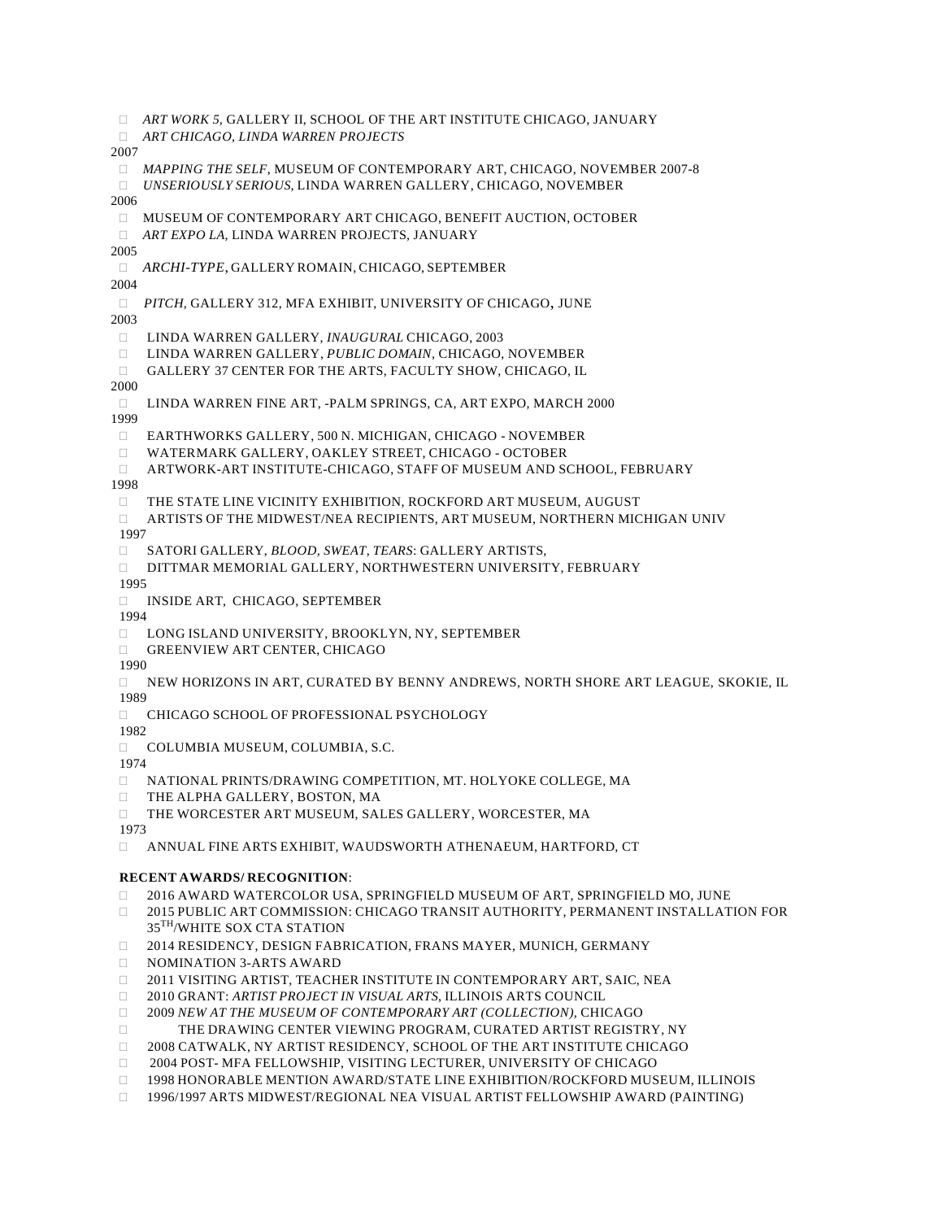*ART WORK 5,* GALLERY II, SCHOOL OF THE ART INSTITUTE CHICAGO, JANUARY *ART CHICAGO, LINDA WARREN PROJECTS* 2007 *MAPPING THE SELF*, MUSEUM OF CONTEMPORARY ART, CHICAGO, NOVEMBER 2007-8 *UNSERIOUSLY SERIOUS,* LINDA WARREN GALLERY, CHICAGO, NOVEMBER 2006 MUSEUM OF CONTEMPORARY ART CHICAGO, BENEFIT AUCTION, OCTOBER *ART EXPO LA*, LINDA WARREN PROJECTS, JANUARY 2005 *ARCHI-TYPE*, GALLERY ROMAIN, CHICAGO, SEPTEMBER 2004 *PITCH,* GALLERY 312, MFA EXHIBIT, UNIVERSITY OF CHICAGO, JUNE 2003 LINDA WARREN GALLERY, *INAUGURAL* CHICAGO, 2003 LINDA WARREN GALLERY, *PUBLIC DOMAIN,* CHICAGO, NOVEMBER GALLERY 37 CENTER FOR THE ARTS, FACULTY SHOW, CHICAGO, IL 2000 LINDA WARREN FINE ART, -PALM SPRINGS, CA, ART EXPO, MARCH 2000 1999 EARTHWORKS GALLERY, 500 N. MICHIGAN, CHICAGO - NOVEMBER WATERMARK GALLERY, OAKLEY STREET, CHICAGO - OCTOBER ARTWORK-ART INSTITUTE-CHICAGO, STAFF OF MUSEUM AND SCHOOL, FEBRUARY 1998 THE STATE LINE VICINITY EXHIBITION, ROCKFORD ART MUSEUM, AUGUST ARTISTS OF THE MIDWEST/NEA RECIPIENTS, ART MUSEUM, NORTHERN MICHIGAN UNIV 1997 SATORI GALLERY, *BLOOD, SWEAT, TEARS*: GALLERY ARTISTS, DITTMAR MEMORIAL GALLERY, NORTHWESTERN UNIVERSITY, FEBRUARY 1995 INSIDE ART, CHICAGO, SEPTEMBER 1994 □ LONG ISLAND UNIVERSITY, BROOKLYN, NY, SEPTEMBER **GREENVIEW ART CENTER, CHICAGO** 1990 NEW HORIZONS IN ART, CURATED BY BENNY ANDREWS, NORTH SHORE ART LEAGUE, SKOKIE, IL 1989 CHICAGO SCHOOL OF PROFESSIONAL PSYCHOLOGY 1982 COLUMBIA MUSEUM, COLUMBIA, S.C. 1974 NATIONAL PRINTS/DRAWING COMPETITION, MT. HOLYOKE COLLEGE, MA

- 
- THE ALPHA GALLERY, BOSTON, MA
- THE WORCESTER ART MUSEUM, SALES GALLERY, WORCESTER, MA

1973

ANNUAL FINE ARTS EXHIBIT, WAUDSWORTH ATHENAEUM, HARTFORD, CT

# **RECENT AWARDS/ RECOGNITION**:

- 2016 AWARD WATERCOLOR USA, SPRINGFIELD MUSEUM OF ART, SPRINGFIELD MO, JUNE
- 2015 PUBLIC ART COMMISSION: CHICAGO TRANSIT AUTHORITY, PERMANENT INSTALLATION FOR 35TH /WHITE SOX CTA STATION
- 2014 RESIDENCY, DESIGN FABRICATION, FRANS MAYER, MUNICH, GERMANY
- NOMINATION 3-ARTS AWARD
- 2011 VISITING ARTIST, TEACHER INSTITUTE IN CONTEMPORARY ART, SAIC, NEA
- 2010 GRANT: *ARTIST PROJECT IN VISUAL ARTS*, ILLINOIS ARTS COUNCIL
- 2009 *NEW AT THE MUSEUM OF CONTEMPORARY ART (COLLECTION),* CHICAGO
- THE DRAWING CENTER VIEWING PROGRAM, CURATED ARTIST REGISTRY, NY
- 2008 CATWALK, NY ARTIST RESIDENCY, SCHOOL OF THE ART INSTITUTE CHICAGO
- 2004 POST- MFA FELLOWSHIP, VISITING LECTURER, UNIVERSITY OF CHICAGO
- 1998 HONORABLE MENTION AWARD/STATE LINE EXHIBITION/ROCKFORD MUSEUM, ILLINOIS
- 1996/1997 ARTS MIDWEST/REGIONAL NEA VISUAL ARTIST FELLOWSHIP AWARD (PAINTING)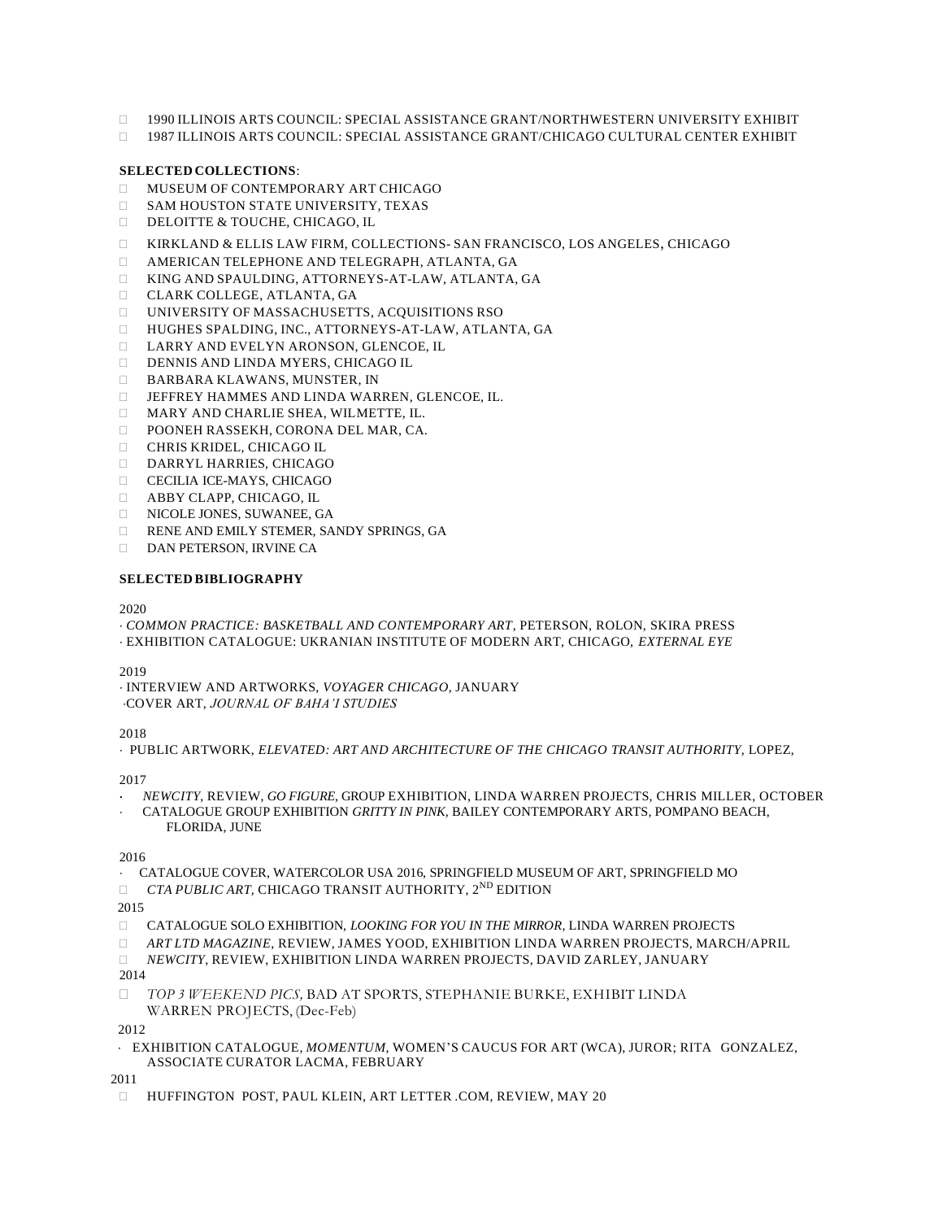- 1990 ILLINOIS ARTS COUNCIL: SPECIAL ASSISTANCE GRANT/NORTHWESTERN UNIVERSITY EXHIBIT
- 1987 ILLINOIS ARTS COUNCIL: SPECIAL ASSISTANCE GRANT/CHICAGO CULTURAL CENTER EXHIBIT

## **SELECTED COLLECTIONS**:

- **INUSEUM OF CONTEMPORARY ART CHICAGO**
- $\square$  SAM HOUSTON STATE UNIVERSITY, TEXAS
- DELOITTE & TOUCHE, CHICAGO, IL
- KIRKLAND & ELLIS LAW FIRM, COLLECTIONS- SAN FRANCISCO, LOS ANGELES, CHICAGO
- AMERICAN TELEPHONE AND TELEGRAPH, ATLANTA, GA
- KING AND SPAULDING, ATTORNEYS-AT-LAW, ATLANTA, GA
- CLARK COLLEGE, ATLANTA, GA
- UNIVERSITY OF MASSACHUSETTS, ACQUISITIONS RSO
- HUGHES SPALDING, INC., ATTORNEYS-AT-LAW, ATLANTA, GA
- LARRY AND EVELYN ARONSON, GLENCOE, IL
- DENNIS AND LINDA MYERS, CHICAGO IL
- BARBARA KLAWANS, MUNSTER, IN
- JEFFREY HAMMES AND LINDA WARREN, GLENCOE, IL.
- MARY AND CHARLIE SHEA, WILMETTE, IL.
- POONEH RASSEKH, CORONA DEL MAR, CA.
- CHRIS KRIDEL, CHICAGO IL
- DARRYL HARRIES, CHICAGO
- CECILIA ICE-MAYS, CHICAGO
- ABBY CLAPP, CHICAGO, IL
- NICOLE JONES, SUWANEE, GA
- RENE AND EMILY STEMER, SANDY SPRINGS, GA
- DAN PETERSON, IRVINE CA

#### **SELECTED BIBLIOGRAPHY**

2020

*COMMON PRACTICE: BASKETBALL AND CONTEMPORARY ART*, PETERSON, ROLON, SKIRA PRESS

EXHIBITION CATALOGUE: UKRANIAN INSTITUTE OF MODERN ART, CHICAGO, *EXTERNAL EYE*

2019

 INTERVIEW AND ARTWORKS, *VOYAGER CHICAGO*, JANUARY COVER ART, *JOURNAL OF BAHA'I STUDIES*

2018

PUBLIC ARTWORK, *ELEVATED: ART AND ARCHITECTURE OF THE CHICAGO TRANSIT AUTHORITY*, LOPEZ,

2017

- *NEWCITY*, REVIEW, *GO FIGURE*, GROUP EXHIBITION, LINDA WARREN PROJECTS, CHRIS MILLER, OCTOBER
- CATALOGUE GROUP EXHIBITION *GRITTY IN PINK,* BAILEY CONTEMPORARY ARTS*,* POMPANO BEACH, FLORIDA, JUNE

2016

- CATALOGUE COVER, WATERCOLOR USA 2016, SPRINGFIELD MUSEUM OF ART, SPRINGFIELD MO
- *CTA PUBLIC ART,* CHICAGO TRANSIT AUTHORITY, 2 ND EDITION

2015

- CATALOGUE SOLO EXHIBITION, *LOOKING FOR YOU IN THE MIRROR*, LINDA WARREN PROJECTS
- *ART LTD MAGAZINE*, REVIEW, JAMES YOOD, EXHIBITION LINDA WARREN PROJECTS, MARCH/APRIL
- *NEWCITY*, REVIEW, EXHIBITION LINDA WARREN PROJECTS, DAVID ZARLEY, JANUARY

2014

 *TOP 3 WEEKEND PICS,* BAD AT SPORTS, STEPHANIE BURKE, EXHIBIT LINDA WARREN PROJECTS, (Dec-Feb)

2012

 EXHIBITION CATALOGUE, *MOMENTUM,* WOMEN'S CAUCUS FOR ART (WCA), JUROR; RITA GONZALEZ, ASSOCIATE CURATOR LACMA, FEBRUARY

2011

HUFFINGTON POST, PAUL KLEIN, ART LETTER .COM, REVIEW, MAY 20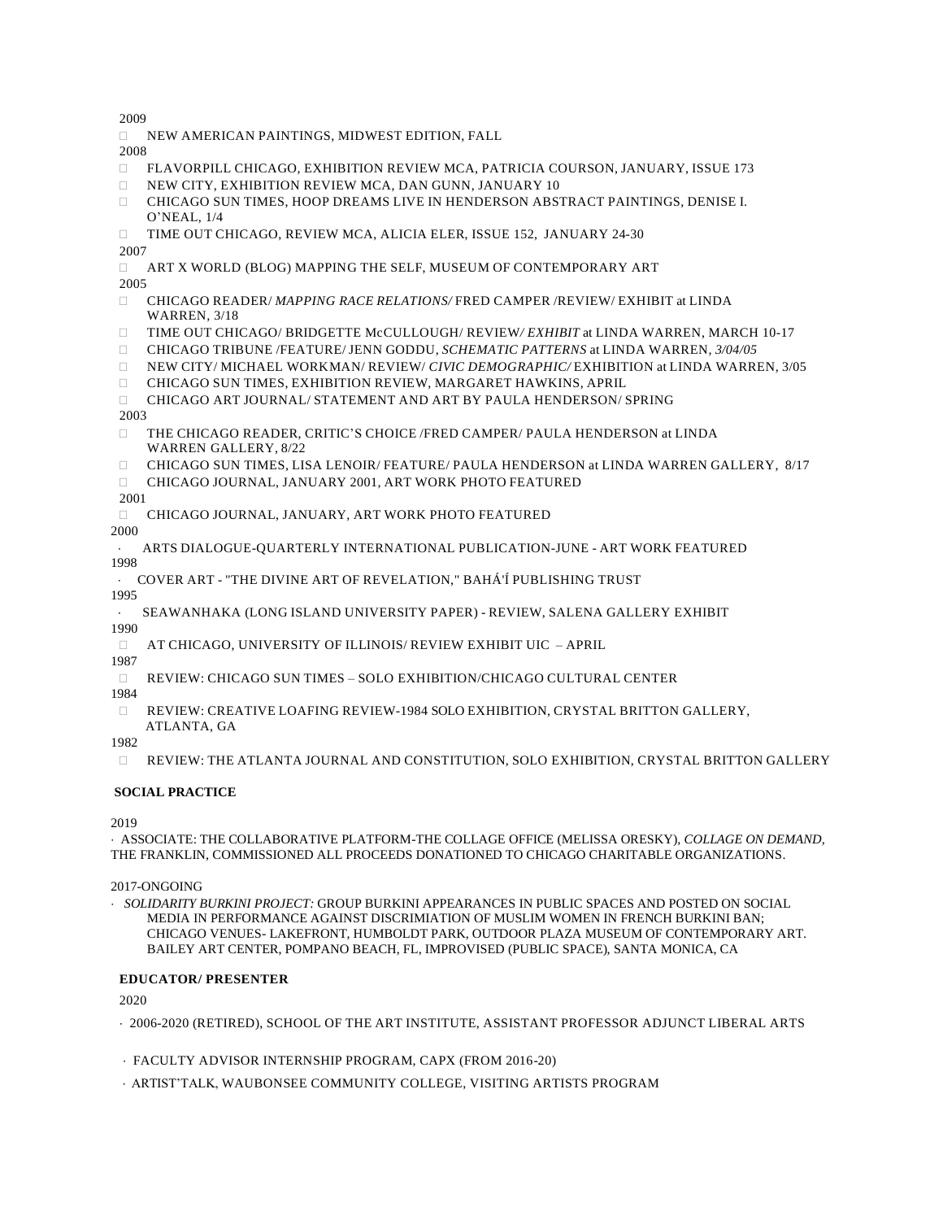2009

NEW AMERICAN PAINTINGS, MIDWEST EDITION, FALL

2008

- FLAVORPILL CHICAGO, EXHIBITION REVIEW MCA, PATRICIA COURSON, JANUARY, ISSUE 173
- NEW CITY, EXHIBITION REVIEW MCA, DAN GUNN, JANUARY 10
- CHICAGO SUN TIMES, HOOP DREAMS LIVE IN HENDERSON ABSTRACT PAINTINGS, DENISE I. O'NEAL, 1/4
- TIME OUT CHICAGO, REVIEW MCA, ALICIA ELER, ISSUE 152, JANUARY 24-30

2007

- ART X WORLD (BLOG) MAPPING THE SELF, MUSEUM OF CONTEMPORARY ART 2005
- CHICAGO READER/ *MAPPING RACE RELATIONS/* FRED CAMPER /REVIEW/ EXHIBIT at LINDA WARREN*,* 3/18
- TIME OUT CHICAGO/ BRIDGETTE McCULLOUGH/ REVIEW*/ EXHIBIT* at LINDA WARREN, MARCH 10-17
- CHICAGO TRIBUNE /FEATURE/ JENN GODDU, *SCHEMATIC PATTERNS* at LINDA WARREN*, 3/04/05*
- NEW CITY/ MICHAEL WORKMAN/ REVIEW/ *CIVIC DEMOGRAPHIC/* EXHIBITION at LINDA WARREN, 3/05
- CHICAGO SUN TIMES, EXHIBITION REVIEW, MARGARET HAWKINS, APRIL
- CHICAGO ART JOURNAL/ STATEMENT AND ART BY PAULA HENDERSON/ SPRING

#### 2003

- THE CHICAGO READER, CRITIC'S CHOICE /FRED CAMPER/ PAULA HENDERSON at LINDA WARREN GALLERY, 8/22
- CHICAGO SUN TIMES, LISA LENOIR/ FEATURE/ PAULA HENDERSON at LINDA WARREN GALLERY, 8/17
- CHICAGO JOURNAL, JANUARY 2001*,* ART WORK PHOTO FEATURED

2001

CHICAGO JOURNAL, JANUARY*,* ART WORK PHOTO FEATURED

2000

- ARTS DIALOGUE-QUARTERLY INTERNATIONAL PUBLICATION-JUNE ART WORK FEATURED 1998
- COVER ART "THE DIVINE ART OF REVELATION," BAHÁ'Í PUBLISHING TRUST
- 1995
	- SEAWANHAKA (LONG ISLAND UNIVERSITY PAPER) REVIEW, SALENA GALLERY EXHIBIT

1990

AT CHICAGO, UNIVERSITY OF ILLINOIS/ REVIEW EXHIBIT UIC – APRIL

1987

REVIEW: CHICAGO SUN TIMES – SOLO EXHIBITION/CHICAGO CULTURAL CENTER

1984

 REVIEW: CREATIVE LOAFING REVIEW-1984 SOLO EXHIBITION, CRYSTAL BRITTON GALLERY, ATLANTA, GA

1982

REVIEW: THE ATLANTA JOURNAL AND CONSTITUTION, SOLO EXHIBITION, CRYSTAL BRITTON GALLERY

# **SOCIAL PRACTICE**

2019

 ASSOCIATE: THE COLLABORATIVE PLATFORM-THE COLLAGE OFFICE (MELISSA ORESKY), *COLLAGE ON DEMAND,* THE FRANKLIN, COMMISSIONED ALL PROCEEDS DONATIONED TO CHICAGO CHARITABLE ORGANIZATIONS.

2017-ONGOING

 *SOLIDARITY BURKINI PROJECT:* GROUP BURKINI APPEARANCES IN PUBLIC SPACES AND POSTED ON SOCIAL MEDIA IN PERFORMANCE AGAINST DISCRIMIATION OF MUSLIM WOMEN IN FRENCH BURKINI BAN; CHICAGO VENUES- LAKEFRONT, HUMBOLDT PARK, OUTDOOR PLAZA MUSEUM OF CONTEMPORARY ART. BAILEY ART CENTER, POMPANO BEACH, FL, IMPROVISED (PUBLIC SPACE), SANTA MONICA, CA

#### **EDUCATOR/ PRESENTER**

2020

- 2006-2020 (RETIRED), SCHOOL OF THE ART INSTITUTE, ASSISTANT PROFESSOR ADJUNCT LIBERAL ARTS
- FACULTY ADVISOR INTERNSHIP PROGRAM, CAPX (FROM 2016-20)
- ARTIST'TALK, WAUBONSEE COMMUNITY COLLEGE, VISITING ARTISTS PROGRAM